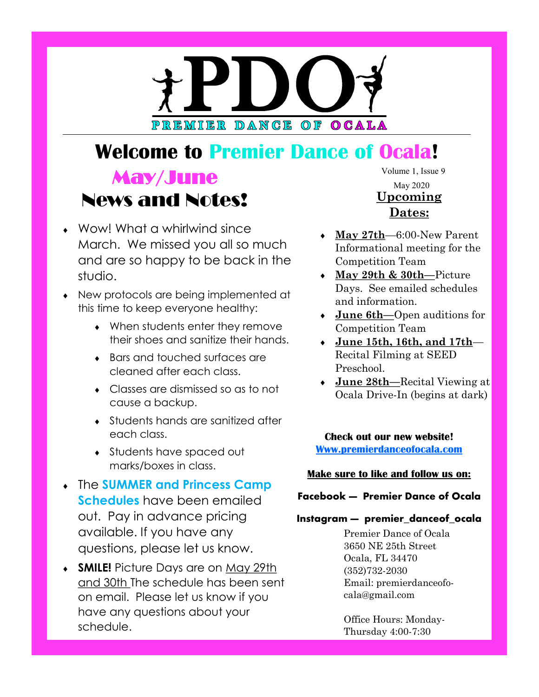# PREMIER DANCE OF OCALA

# **Welcome to Premier Dance of Ocala!**

# $\frac{\text{Volume}}{\text{Volume}}$  1, Issue 9 News and Notes!

- Wow! What a whirlwind since March. We missed you all so much and are so happy to be back in the studio.
- New protocols are being implemented at this time to keep everyone healthy:
	- When students enter they remove their shoes and sanitize their hands.
	- Bars and touched surfaces are cleaned after each class.
	- Classes are dismissed so as to not cause a backup.
	- Students hands are sanitized after each class.
	- Students have spaced out marks/boxes in class.
- The **SUMMER and Princess Camp Schedules** have been emailed out. Pay in advance pricing available. If you have any questions, please let us know.
- **SMILE!** Picture Days are on May 29th and 30th The schedule has been sent on email. Please let us know if you have any questions about your schedule.

May 2020 **Upcoming Dates:**

- **May 27th**—6:00-New Parent Informational meeting for the Competition Team
- **May 29th & 30th—**Picture Days. See emailed schedules and information.
- **June 6th—**Open auditions for Competition Team
- **June 15th, 16th, and 17th** Recital Filming at SEED Preschool.
- **June 28th—**Recital Viewing at Ocala Drive-In (begins at dark)

**Check out our new website! [Www.premierdanceofocala.com](https://premierdanceofocala.com/)**

#### **Make sure to like and follow us on:**

#### **Facebook — Premier Dance of Ocala**

#### **Instagram — premier\_danceof\_ocala**

Premier Dance of Ocala 3650 NE 25th Street Ocala, FL 34470 (352)732-2030 Email: premierdanceofocala@gmail.com

Office Hours: Monday-Thursday 4:00-7:30